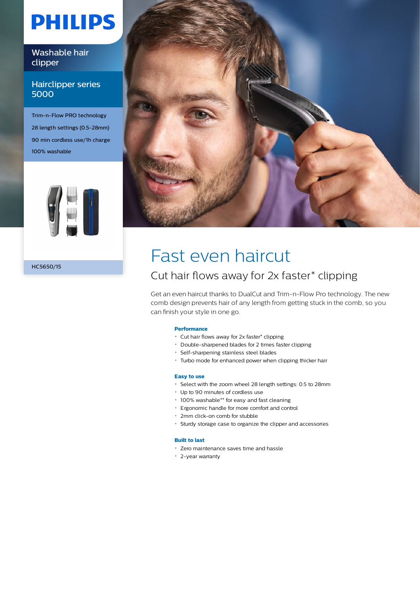# **PHILIPS**

### Washable hair clipper

### Hairclipper series 5000

Trim-n-Flow PRO technology 28 length settings (0.5-28mm) 90 min cordless use/1h charge 100% washable



HC5650/15



## Fast even haircut

### Cut hair flows away for 2x faster\* clipping

Get an even haircut thanks to DualCut and Trim-n-Flow Pro technology. The new comb design prevents hair of any length from getting stuck in the comb, so you can finish your style in one go.

#### **Performance**

- Cut hair flows away for 2x faster\* clipping
- Double-sharpened blades for 2 times faster clipping
- Self-sharpening stainless steel blades
- Turbo mode for enhanced power when clipping thicker hair

#### **Easy to use**

- Select with the zoom wheel 28 length settings: 0.5 to 28mm
- Up to 90 minutes of cordless use
- 100% washable\*\* for easy and fast cleaning
- Ergonomic handle for more comfort and control
- 2mm click-on comb for stubble
- Sturdy storage case to organize the clipper and accessories

#### **Built to last**

- Zero maintenance saves time and hassle
- 2-year warranty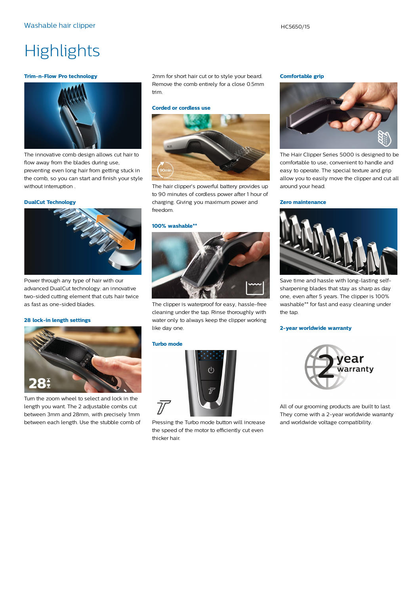## **Highlights**

#### **Trim-n-Flow Pro technology**



The innovative comb design allows cut hair to flow away from the blades during use, preventing even long hair from getting stuck in the comb, so you can start and finish your style without interruption .

#### **DualCut Technology**



Power through any type of hair with our advanced DualCut technology: an innovative two-sided cutting element that cuts hair twice as fast as one-sided blades.

#### **28 lock-in length settings**



Turn the zoom wheel to select and lock in the length you want. The 2 adjustable combs cut between 3mm and 28mm, with precisely 1mm between each length. Use the stubble comb of 2mm for short hair cut or to style your beard. Remove the comb entirely for a close 0.5mm trim.

#### **Corded or cordless use**



The hair clipper's powerful battery provides up to 90 minutes of cordless power after 1 hour of charging. Giving you maximum power and freedom.

#### **100% washable\*\***



The clipper is waterproof for easy, hassle-free cleaning under the tap. Rinse thoroughly with water only to always keep the clipper working like day one.

#### **Turbo mode**



Pressing the Turbo mode button will increase the speed of the motor to efficiently cut even thicker hair.

#### **Comfortable grip**



The Hair Clipper Series 5000 is designed to be comfortable to use, convenient to handle and easy to operate. The special texture and grip allow you to easily move the clipper and cut all around your head.

#### **Zero maintenance**



Save time and hassle with long-lasting selfsharpening blades that stay as sharp as day one, even after 5 years. The clipper is 100% washable\*\* for fast and easy cleaning under the tap.

#### **2-year worldwide warranty**



All of our grooming products are built to last. They come with a 2-year worldwide warranty and worldwide voltage compatibility.